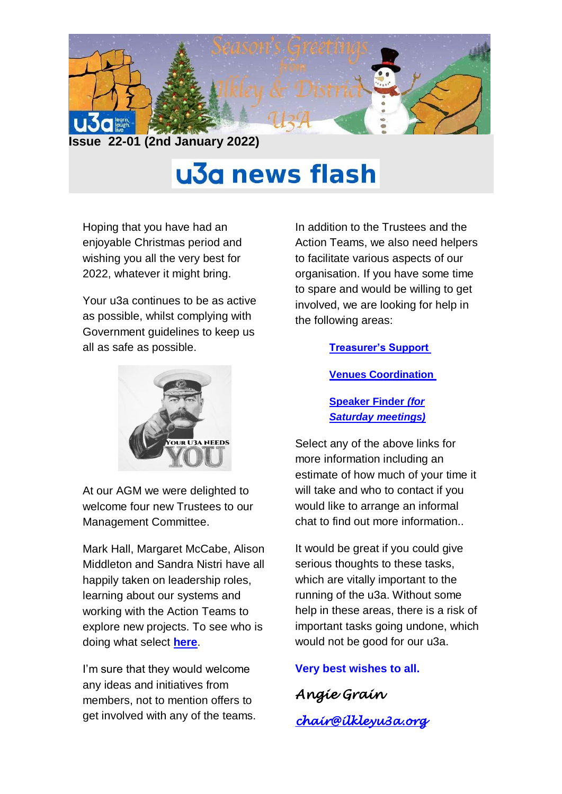

## u3a news flash

Hoping that you have had an enjoyable Christmas period and wishing you all the very best for 2022, whatever it might bring.

Your u3a continues to be as active as possible, whilst complying with Government guidelines to keep us all as safe as possible.



At our AGM we were delighted to welcome four new Trustees to our Management Committee.

Mark Hall, Margaret McCabe, Alison Middleton and Sandra Nistri have all happily taken on leadership roles, learning about our systems and working with the Action Teams to explore new projects. To see who is doing what select **[here](https://ilkleyu3a.org/Contact-Us)**.

I'm sure that they would welcome any ideas and initiatives from members, not to mention offers to get involved with any of the teams. In addition to the Trustees and the Action Teams, we also need helpers to facilitate various aspects of our organisation. If you have some time to spare and would be willing to get involved, we are looking for help in the following areas:

## **[Treasurer's Support](https://ilkleyu3a.org/resources/Treasurer%20Support%20Role.pdf)**

**[Venues Coordination](https://ilkleyu3a.org/resources/Venues%20Coordination.pdf)**

**[Speaker Finder](https://ilkleyu3a.org/resources/Saturday%20Talks.pdf)** *(for [Saturday meetings\)](https://ilkleyu3a.org/resources/Saturday%20Talks.pdf)*

Select any of the above links for more information including an estimate of how much of your time it will take and who to contact if you would like to arrange an informal chat to find out more information..

It would be great if you could give serious thoughts to these tasks, which are vitally important to the running of the u3a. Without some help in these areas, there is a risk of important tasks going undone, which would not be good for our u3a.

**Very best wishes to all.**

*Angie Grain [chair@ilkleyu3a.org](mailto:chair@ilkleyu3a.org)*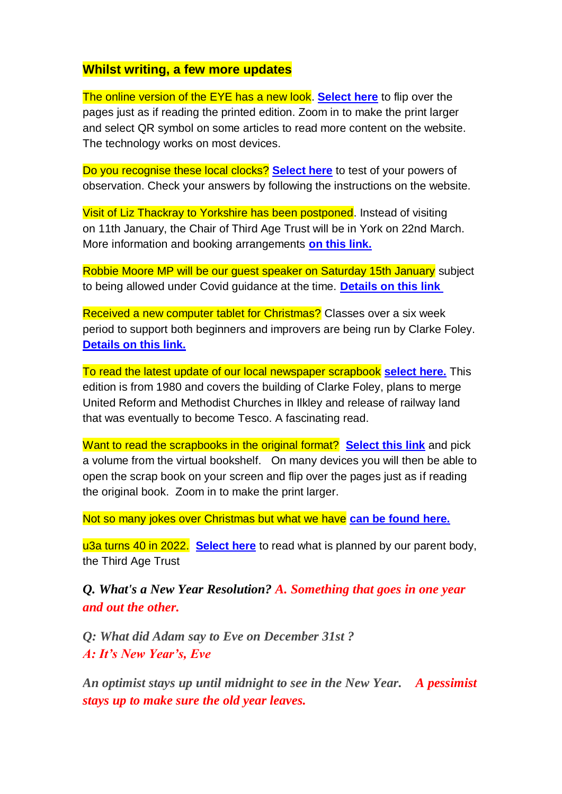## **Whilst writing, a few more updates**

The online version of the EYE has a new look. **[Select here](https://ilkleyu3a.org/EYE-2)** to flip over the pages just as if reading the printed edition. Zoom in to make the print larger and select QR symbol on some articles to read more content on the website. The technology works on most devices.

Do you recognise these local clocks? **[Select here](http://ilkleyu3a.org/#HQUIZ)** to test of your powers of observation. Check your answers by following the instructions on the website.

Visit of Liz Thackray to Yorkshire has been postponed. Instead of visiting on 11th January, the Chair of Third Age Trust will be in York on 22nd March. More information and booking arrangements **[on this link.](https://ilkleyu3a.org/event-4592014)**

Robbie Moore MP will be our guest speaker on Saturday 15th January subject to being allowed under Covid guidance at the time. **[Details on this link](https://ilkleyu3a.org/event-4566112)**

Received a new computer tablet for Christmas? Classes over a six week period to support both beginners and improvers are being run by Clarke Foley. **[Details on this link.](https://www.clarkefoley.org.uk/calendar/329/cf-worth-connecting)**

To read the latest update of our local newspaper scrapbook **[select here.](https://ilkleyu3a.org/Ilkley-Scrapbook-of-the-month)** This edition is from 1980 and covers the building of Clarke Foley, plans to merge United Reform and Methodist Churches in Ilkley and release of railway land that was eventually to become Tesco. A fascinating read.

Want to read the scrapbooks in the original format? **[Select this link](https://ilkleyu3a.org/resources/Documents/PDF-Flip/bookshelf-Scrapbooks.html)** and pick a volume from the virtual bookshelf. On many devices you will then be able to open the scrap book on your screen and flip over the pages just as if reading the original book. Zoom in to make the print larger.

Not so many jokes over Christmas but what we have **[can be found here.](https://ilkleyu3a.org/Lockdown-Support-Quirky-Humour)**

u3a turns 40 in 2022. **[Select here](https://u3a.org.uk/events/40th-anniversary)** to read what is planned by our parent body, the Third Age Trust

*Q. What's a New Year Resolution? A. Something that goes in one year and out the other.*

*Q: What did Adam say to Eve on December 31st ? A: It's New Year's, Eve*

*An optimist stays up until midnight to see in the New Year. A pessimist stays up to make sure the old year leaves.*